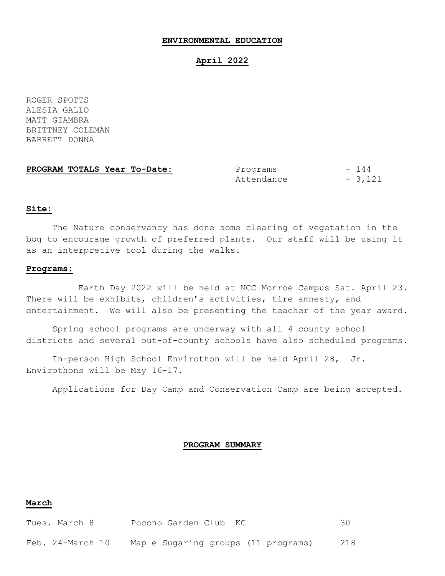#### **ENVIRONMENTAL EDUCATION**

### **April 2022**

ROGER SPOTTS ALESIA GALLO MATT GIAMBRA BRITTNEY COLEMAN BARRETT DONNA

**PROGRAM TOTALS Year To-Date:** Programs - 144

Attendance - 3,121

#### **Site:**

The Nature conservancy has done some clearing of vegetation in the bog to encourage growth of preferred plants. Our staff will be using it as an interpretive tool during the walks.

#### **Programs:**

Earth Day 2022 will be held at NCC Monroe Campus Sat. April 23. There will be exhibits, children's activities, tire amnesty, and entertainment. We will also be presenting the teacher of the year award.

Spring school programs are underway with all 4 county school districts and several out-of-county schools have also scheduled programs.

In-person High School Envirothon will be held April 28, Jr. Envirothons will be May 16-17.

Applications for Day Camp and Conservation Camp are being accepted.

#### **PROGRAM SUMMARY**

### **March**

| Tues. March 8    | Pocono Garden Club KC               |     |
|------------------|-------------------------------------|-----|
| Feb. 24-March 10 | Maple Sugaring groups (11 programs) | 218 |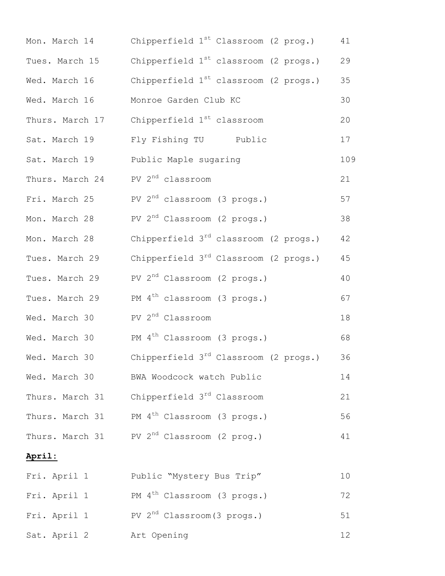| Mon. March 14   | Chipperfield 1 <sup>st</sup> Classroom (2 prog.)       | 41  |
|-----------------|--------------------------------------------------------|-----|
| Tues. March 15  | Chipperfield $1st$ classroom (2 progs.)                | 29  |
| Wed. March 16   | Chipperfield $1^{st}$ classroom (2 progs.)             | 35  |
| Wed. March 16   | Monroe Garden Club KC                                  | 30  |
| Thurs. March 17 | Chipperfield 1 <sup>st</sup> classroom                 | 20  |
| Sat. March 19   | Fly Fishing TU Public                                  | 17  |
| Sat. March 19   | Public Maple sugaring                                  | 109 |
| Thurs. March 24 | PV 2 <sup>nd</sup> classroom                           | 21  |
| Fri. March 25   | PV $2^{nd}$ classroom (3 progs.)                       | 57  |
| Mon. March 28   | PV $2nd$ Classroom (2 progs.)                          | 38  |
| Mon. March 28   | Chipperfield $3^{rd}$ classroom (2 progs.)             | 42  |
| Tues. March 29  | Chipperfield 3 <sup>rd</sup> Classroom (2 progs.)      | 45  |
| Tues. March 29  | PV $2^{nd}$ Classroom (2 progs.)                       | 40  |
| Tues. March 29  | PM 4 <sup>th</sup> classroom (3 progs.)                | 67  |
| Wed. March 30   | PV 2 <sup>nd</sup> Classroom                           | 18  |
| Wed. March 30   | PM 4 <sup>th</sup> Classroom (3 progs.)                | 68  |
| Wed. March 30   | Chipperfield 3 <sup>rd</sup> Classroom (2 progs.)      | 36  |
| Wed. March 30   | BWA Woodcock watch Public                              | 14  |
| Thurs. March 31 | Chipperfield 3 <sup>rd</sup> Classroom                 | 21  |
| Thurs. March 31 | PM 4 <sup>th</sup> Classroom (3 progs.)                | 56  |
|                 | Thurs. March 31 PV 2 <sup>nd</sup> Classroom (2 prog.) | 41  |
| April:          |                                                        |     |
| Fri. April 1    | Public "Mystery Bus Trip"                              | 10  |
| Fri. April 1    | PM 4 <sup>th</sup> Classroom (3 progs.)                | 72  |
| Fri. April 1    | PV $2nd$ Classroom (3 progs.)                          | 51  |
| Sat. April 2    | Art Opening                                            | 12  |